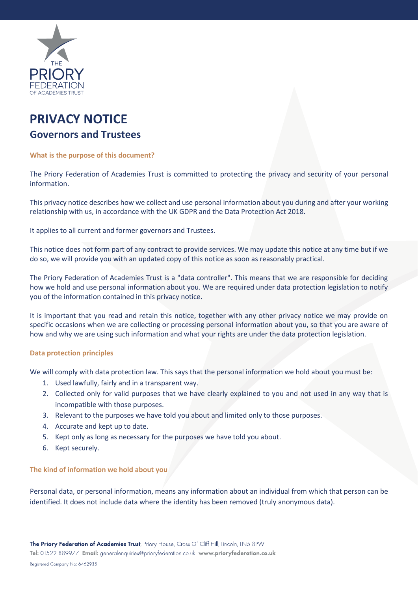

# **PRIVACY NOTICE Governors and Trustees**

# **What is the purpose of this document?**

The Priory Federation of Academies Trust is committed to protecting the privacy and security of your personal information.

This privacy notice describes how we collect and use personal information about you during and after your working relationship with us, in accordance with the UK GDPR and the Data Protection Act 2018.

It applies to all current and former governors and Trustees.

This notice does not form part of any contract to provide services. We may update this notice at any time but if we do so, we will provide you with an updated copy of this notice as soon as reasonably practical.

The Priory Federation of Academies Trust is a "data controller". This means that we are responsible for deciding how we hold and use personal information about you. We are required under data protection legislation to notify you of the information contained in this privacy notice.

It is important that you read and retain this notice, together with any other privacy notice we may provide on specific occasions when we are collecting or processing personal information about you, so that you are aware of how and why we are using such information and what your rights are under the data protection legislation.

## **Data protection principles**

We will comply with data protection law. This says that the personal information we hold about you must be:

- 1. Used lawfully, fairly and in a transparent way.
- 2. Collected only for valid purposes that we have clearly explained to you and not used in any way that is incompatible with those purposes.
- 3. Relevant to the purposes we have told you about and limited only to those purposes.
- 4. Accurate and kept up to date.
- 5. Kept only as long as necessary for the purposes we have told you about.
- 6. Kept securely.

## **The kind of information we hold about you**

Personal data, or personal information, means any information about an individual from which that person can be identified. It does not include data where the identity has been removed (truly anonymous data).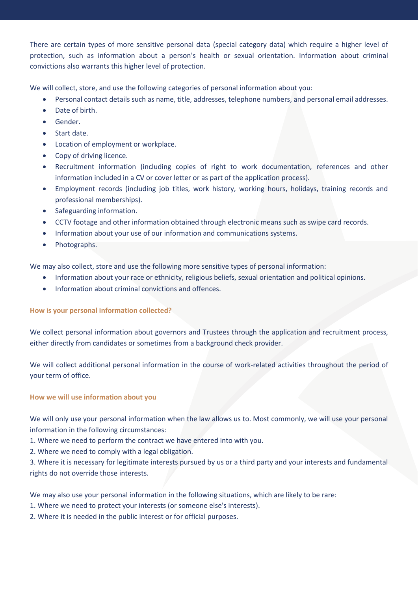There are certain types of more sensitive personal data (special category data) which require a higher level of protection, such as information about a person's health or sexual orientation. Information about criminal convictions also warrants this higher level of protection.

We will collect, store, and use the following categories of personal information about you:

- Personal contact details such as name, title, addresses, telephone numbers, and personal email addresses.
- Date of birth.
- Gender.
- Start date.
- Location of employment or workplace.
- Copy of driving licence.
- Recruitment information (including copies of right to work documentation, references and other information included in a CV or cover letter or as part of the application process).
- Employment records (including job titles, work history, working hours, holidays, training records and professional memberships).
- Safeguarding information.
- CCTV footage and other information obtained through electronic means such as swipe card records.
- Information about your use of our information and communications systems.
- Photographs.

We may also collect, store and use the following more sensitive types of personal information:

- Information about your race or ethnicity, religious beliefs, sexual orientation and political opinions.
- Information about criminal convictions and offences.

# **How is your personal information collected?**

We collect personal information about governors and Trustees through the application and recruitment process, either directly from candidates or sometimes from a background check provider.

We will collect additional personal information in the course of work-related activities throughout the period of your term of office.

# **How we will use information about you**

We will only use your personal information when the law allows us to. Most commonly, we will use your personal information in the following circumstances:

1. Where we need to perform the contract we have entered into with you.

2. Where we need to comply with a legal obligation.

3. Where it is necessary for legitimate interests pursued by us or a third party and your interests and fundamental rights do not override those interests.

We may also use your personal information in the following situations, which are likely to be rare:

- 1. Where we need to protect your interests (or someone else's interests).
- 2. Where it is needed in the public interest or for official purposes.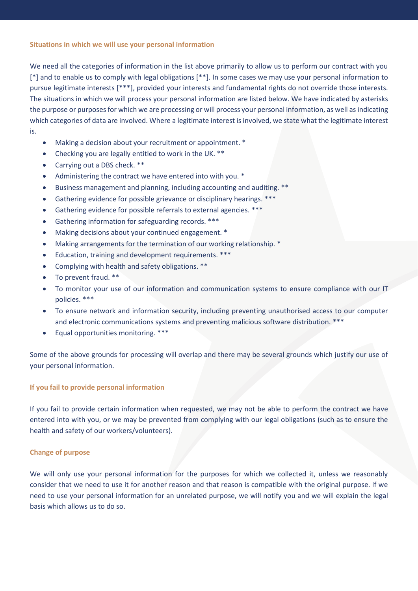# **Situations in which we will use your personal information**

We need all the categories of information in the list above primarily to allow us to perform our contract with you [\*] and to enable us to comply with legal obligations [\*\*]. In some cases we may use your personal information to pursue legitimate interests [\*\*\*], provided your interests and fundamental rights do not override those interests. The situations in which we will process your personal information are listed below. We have indicated by asterisks the purpose or purposes for which we are processing or will process your personal information, as well as indicating which categories of data are involved. Where a legitimate interest is involved, we state what the legitimate interest is.

- Making a decision about your recruitment or appointment. \*
- Checking you are legally entitled to work in the UK. \*\*
- Carrying out a DBS check. \*\*
- Administering the contract we have entered into with you. \*
- Business management and planning, including accounting and auditing. \*\*
- Gathering evidence for possible grievance or disciplinary hearings. \*\*\*
- Gathering evidence for possible referrals to external agencies. \*\*\*
- Gathering information for safeguarding records. \*\*\*
- Making decisions about your continued engagement. \*
- Making arrangements for the termination of our working relationship. \*
- Education, training and development requirements. \*\*\*
- Complying with health and safety obligations. \*\*
- To prevent fraud. \*\*
- To monitor your use of our information and communication systems to ensure compliance with our IT policies. \*\*\*
- To ensure network and information security, including preventing unauthorised access to our computer and electronic communications systems and preventing malicious software distribution. \*\*\*
- Equal opportunities monitoring. \*\*\*

Some of the above grounds for processing will overlap and there may be several grounds which justify our use of your personal information.

# **If you fail to provide personal information**

If you fail to provide certain information when requested, we may not be able to perform the contract we have entered into with you, or we may be prevented from complying with our legal obligations (such as to ensure the health and safety of our workers/volunteers).

# **Change of purpose**

We will only use your personal information for the purposes for which we collected it, unless we reasonably consider that we need to use it for another reason and that reason is compatible with the original purpose. If we need to use your personal information for an unrelated purpose, we will notify you and we will explain the legal basis which allows us to do so.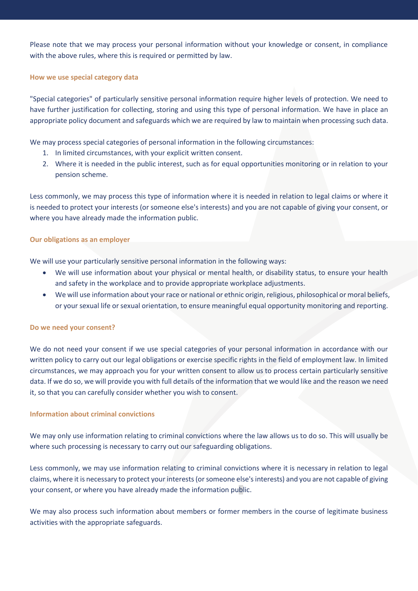Please note that we may process your personal information without your knowledge or consent, in compliance with the above rules, where this is required or permitted by law.

## **How we use special category data**

"Special categories" of particularly sensitive personal information require higher levels of protection. We need to have further justification for collecting, storing and using this type of personal information. We have in place an appropriate policy document and safeguards which we are required by law to maintain when processing such data.

We may process special categories of personal information in the following circumstances:

- 1. In limited circumstances, with your explicit written consent.
- 2. Where it is needed in the public interest, such as for equal opportunities monitoring or in relation to your pension scheme.

Less commonly, we may process this type of information where it is needed in relation to legal claims or where it is needed to protect your interests (or someone else's interests) and you are not capable of giving your consent, or where you have already made the information public.

# **Our obligations as an employer**

We will use your particularly sensitive personal information in the following ways:

- We will use information about your physical or mental health, or disability status, to ensure your health and safety in the workplace and to provide appropriate workplace adjustments.
- We will use information about your race or national or ethnic origin, religious, philosophical or moral beliefs, or your sexual life or sexual orientation, to ensure meaningful equal opportunity monitoring and reporting.

## **Do we need your consent?**

We do not need your consent if we use special categories of your personal information in accordance with our written policy to carry out our legal obligations or exercise specific rights in the field of employment law. In limited circumstances, we may approach you for your written consent to allow us to process certain particularly sensitive data. If we do so, we will provide you with full details of the information that we would like and the reason we need it, so that you can carefully consider whether you wish to consent.

## **Information about criminal convictions**

We may only use information relating to criminal convictions where the law allows us to do so. This will usually be where such processing is necessary to carry out our safeguarding obligations.

Less commonly, we may use information relating to criminal convictions where it is necessary in relation to legal claims, where it is necessary to protect your interests (or someone else's interests) and you are not capable of giving your consent, or where you have already made the information public.

We may also process such information about members or former members in the course of legitimate business activities with the appropriate safeguards.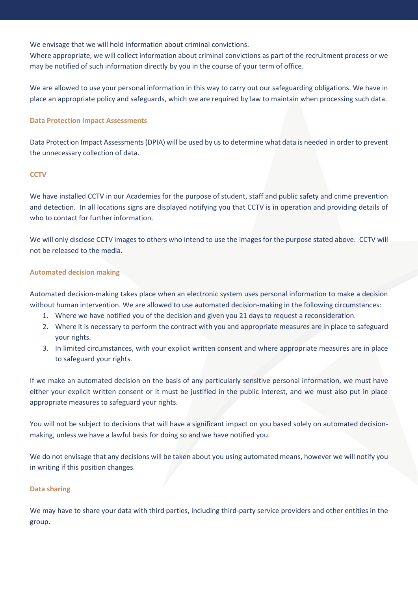We envisage that we will hold information about criminal convictions.

Where appropriate, we will collect information about criminal convictions as part of the recruitment process or we may be notified of such information directly by you in the course of your term of office.

We are allowed to use your personal information in this way to carry out our safeguarding obligations. We have in place an appropriate policy and safeguards, which we are required by law to maintain when processing such data.

# **Data Protection Impact Assessments**

Data Protection Impact Assessments (DPIA) will be used by us to determine what data is needed in order to prevent the unnecessary collection of data.

# **CCTV**

We have installed CCTV in our Academies for the purpose of student, staff and public safety and crime prevention and detection. In all locations signs are displayed notifying you that CCTV is in operation and providing details of who to contact for further information.

We will only disclose CCTV images to others who intend to use the images for the purpose stated above. CCTV will not be released to the media.

# **Automated decision making**

Automated decision-making takes place when an electronic system uses personal information to make a decision without human intervention. We are allowed to use automated decision-making in the following circumstances:

- 1. Where we have notified you of the decision and given you 21 days to request a reconsideration.
- 2. Where it is necessary to perform the contract with you and appropriate measures are in place to safeguard your rights.
- 3. In limited circumstances, with your explicit written consent and where appropriate measures are in place to safeguard your rights.

If we make an automated decision on the basis of any particularly sensitive personal information, we must have either your explicit written consent or it must be justified in the public interest, and we must also put in place appropriate measures to safeguard your rights.

You will not be subject to decisions that will have a significant impact on you based solely on automated decisionmaking, unless we have a lawful basis for doing so and we have notified you.

We do not envisage that any decisions will be taken about you using automated means, however we will notify you in writing if this position changes.

## **Data sharing**

We may have to share your data with third parties, including third-party service providers and other entities in the group.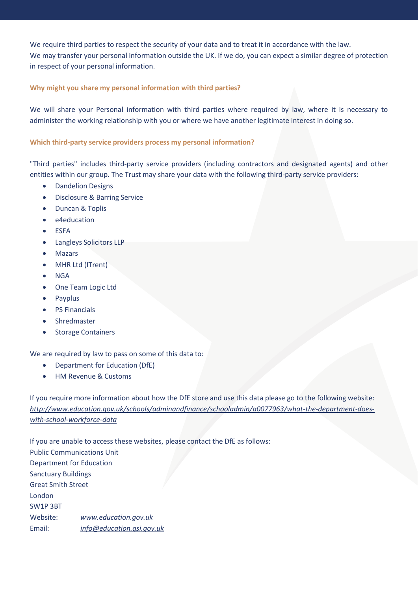We require third parties to respect the security of your data and to treat it in accordance with the law. We may transfer your personal information outside the UK. If we do, you can expect a similar degree of protection in respect of your personal information.

# **Why might you share my personal information with third parties?**

We will share your Personal information with third parties where required by law, where it is necessary to administer the working relationship with you or where we have another legitimate interest in doing so.

# **Which third-party service providers process my personal information?**

"Third parties" includes third-party service providers (including contractors and designated agents) and other entities within our group. The Trust may share your data with the following third-party service providers:

- Dandelion Designs
- Disclosure & Barring Service
- Duncan & Toplis
- e4education
- ESFA
- Langleys Solicitors LLP
- Mazars
- MHR Ltd (ITrent)
- **NGA**
- One Team Logic Ltd
- Payplus
- PS Financials
- Shredmaster
- Storage Containers

We are required by law to pass on some of this data to:

- Department for Education (DfE)
- HM Revenue & Customs

If you require more information about how the DfE store and use this data please go to the following website: *[http://www.education.gov.uk/schools/adminandfinance/schooladmin/a0077963/what-the-department-does](http://www.education.gov.uk/schools/adminandfinance/schooladmin/a0077963/what-the-department-does-with-school-workforce-data)[with-school-workforce-data](http://www.education.gov.uk/schools/adminandfinance/schooladmin/a0077963/what-the-department-does-with-school-workforce-data)*

If you are unable to access these websites, please contact the DfE as follows: Public Communications Unit Department for Education Sanctuary Buildings Great Smith Street London SW1P 3BT Website: *[www.education.gov.uk](http://www.education.gov.uk/)* Email: *[info@education.gsi.gov.uk](mailto:info@education.gsi.gov.uk)*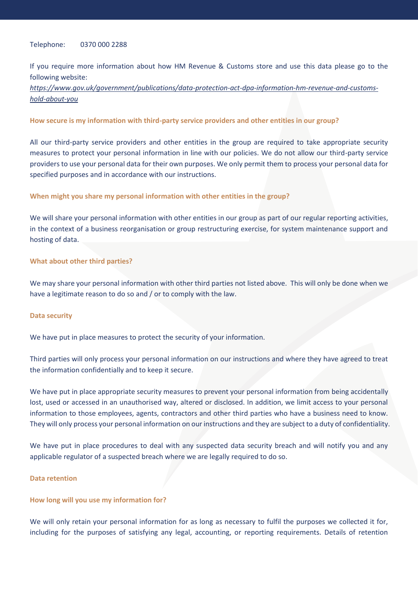## Telephone: 0370 000 2288

If you require more information about how HM Revenue & Customs store and use this data please go to the following website:

*[https://www.gov.uk/government/publications/data-protection-act-dpa-information-hm-revenue-and-customs](https://www.gov.uk/government/publications/data-protection-act-dpa-information-hm-revenue-and-customs-hold-about-you)[hold-about-you](https://www.gov.uk/government/publications/data-protection-act-dpa-information-hm-revenue-and-customs-hold-about-you)*

## **How secure is my information with third-party service providers and other entities in our group?**

All our third-party service providers and other entities in the group are required to take appropriate security measures to protect your personal information in line with our policies. We do not allow our third-party service providers to use your personal data for their own purposes. We only permit them to process your personal data for specified purposes and in accordance with our instructions.

## **When might you share my personal information with other entities in the group?**

We will share your personal information with other entities in our group as part of our regular reporting activities, in the context of a business reorganisation or group restructuring exercise, for system maintenance support and hosting of data.

#### **What about other third parties?**

We may share your personal information with other third parties not listed above. This will only be done when we have a legitimate reason to do so and / or to comply with the law.

#### **Data security**

We have put in place measures to protect the security of your information.

Third parties will only process your personal information on our instructions and where they have agreed to treat the information confidentially and to keep it secure.

We have put in place appropriate security measures to prevent your personal information from being accidentally lost, used or accessed in an unauthorised way, altered or disclosed. In addition, we limit access to your personal information to those employees, agents, contractors and other third parties who have a business need to know. They will only process your personal information on our instructions and they are subject to a duty of confidentiality.

We have put in place procedures to deal with any suspected data security breach and will notify you and any applicable regulator of a suspected breach where we are legally required to do so.

#### **Data retention**

#### **How long will you use my information for?**

We will only retain your personal information for as long as necessary to fulfil the purposes we collected it for, including for the purposes of satisfying any legal, accounting, or reporting requirements. Details of retention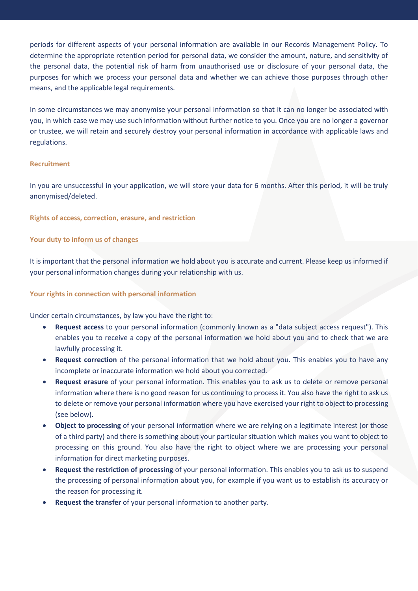periods for different aspects of your personal information are available in our Records Management Policy. To determine the appropriate retention period for personal data, we consider the amount, nature, and sensitivity of the personal data, the potential risk of harm from unauthorised use or disclosure of your personal data, the purposes for which we process your personal data and whether we can achieve those purposes through other means, and the applicable legal requirements.

In some circumstances we may anonymise your personal information so that it can no longer be associated with you, in which case we may use such information without further notice to you. Once you are no longer a governor or trustee, we will retain and securely destroy your personal information in accordance with applicable laws and regulations.

## **Recruitment**

In you are unsuccessful in your application, we will store your data for 6 months. After this period, it will be truly anonymised/deleted.

**Rights of access, correction, erasure, and restriction** 

# **Your duty to inform us of changes**

It is important that the personal information we hold about you is accurate and current. Please keep us informed if your personal information changes during your relationship with us.

# **Your rights in connection with personal information**

Under certain circumstances, by law you have the right to:

- **Request access** to your personal information (commonly known as a "data subject access request"). This enables you to receive a copy of the personal information we hold about you and to check that we are lawfully processing it.
- **Request correction** of the personal information that we hold about you. This enables you to have any incomplete or inaccurate information we hold about you corrected.
- **Request erasure** of your personal information. This enables you to ask us to delete or remove personal information where there is no good reason for us continuing to process it. You also have the right to ask us to delete or remove your personal information where you have exercised your right to object to processing (see below).
- **Object to processing** of your personal information where we are relying on a legitimate interest (or those of a third party) and there is something about your particular situation which makes you want to object to processing on this ground. You also have the right to object where we are processing your personal information for direct marketing purposes.
- **Request the restriction of processing** of your personal information. This enables you to ask us to suspend the processing of personal information about you, for example if you want us to establish its accuracy or the reason for processing it.
- **Request the transfer** of your personal information to another party.